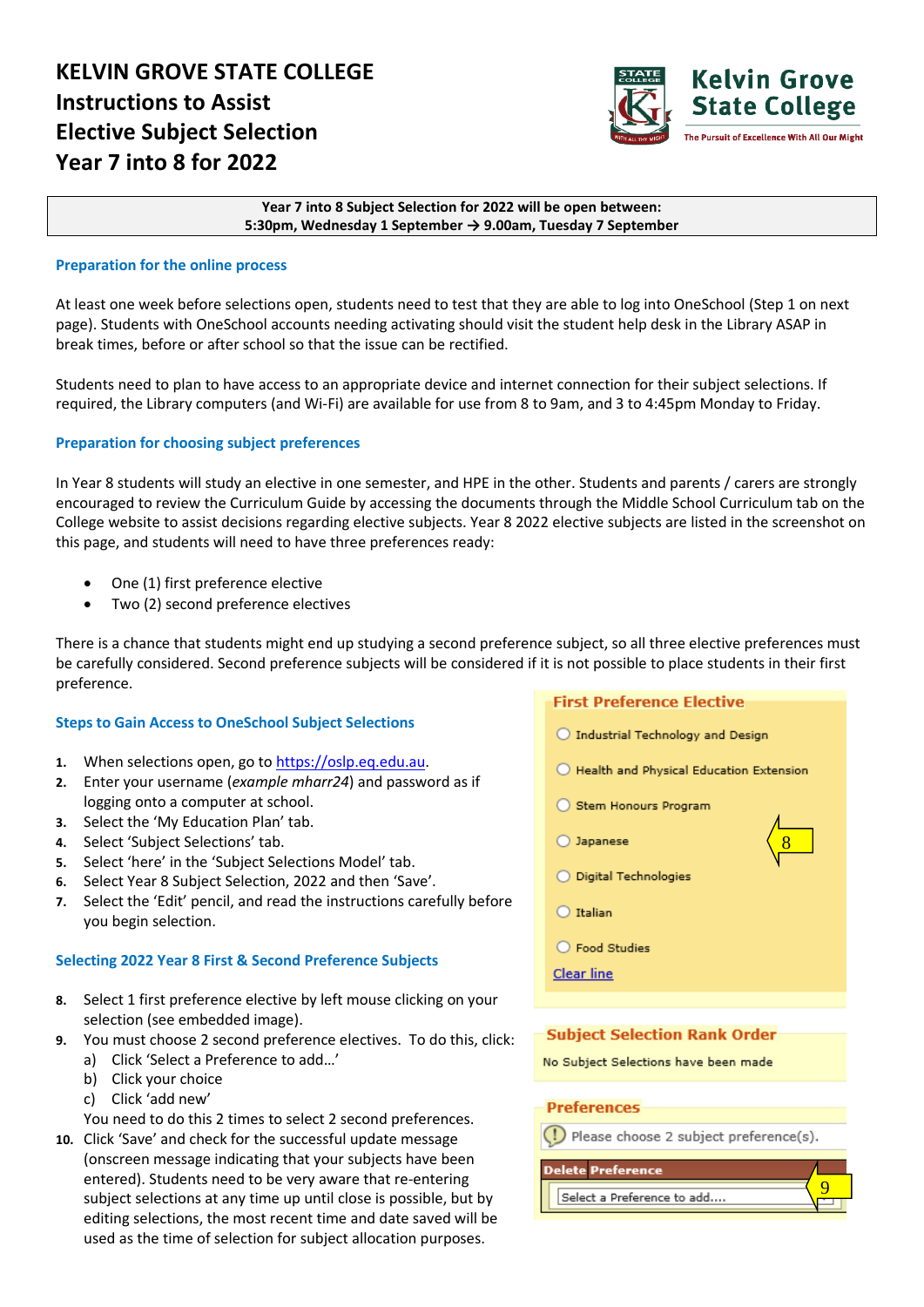

### **Year 7 into 8 Subject Selection for 2022 will be open between: 5:30pm, Wednesday 1 September → 9.00am, Tuesday 7 September**

## **Preparation for the online process**

At least one week before selections open, students need to test that they are able to log into OneSchool (Step 1 on next page). Students with OneSchool accounts needing activating should visit the student help desk in the Library ASAP in break times, before or after school so that the issue can be rectified.

Students need to plan to have access to an appropriate device and internet connection for their subject selections. If required, the Library computers (and Wi-Fi) are available for use from 8 to 9am, and 3 to 4:45pm Monday to Friday.

## **Preparation for choosing subject preferences**

In Year 8 students will study an elective in one semester, and HPE in the other. Students and parents / carers are strongly encouraged to review the Curriculum Guide by accessing the documents through the Middle School Curriculum tab on the College website to assist decisions regarding elective subjects. Year 8 2022 elective subjects are listed in the screenshot on this page, and students will need to have three preferences ready:

- One (1) first preference elective
- Two (2) second preference electives

There is a chance that students might end up studying a second preference subject, so all three elective preferences must be carefully considered. Second preference subjects will be considered if it is not possible to place students in their first preference.

### **Steps to Gain Access to OneSchool Subject Selections**

- **1.** When selections open, go to [https://oslp.eq.edu.au.](https://oslp.eq.edu.au/)
- **2.** Enter your username (*example mharr24*) and password as if logging onto a computer at school.
- **3.** Select the 'My Education Plan' tab.
- **4.** Select 'Subject Selections' tab.
- **5.** Select 'here' in the 'Subject Selections Model' tab.
- **6.** Select Year 8 Subject Selection, 2022 and then 'Save'.
- **7.** Select the 'Edit' pencil, and read the instructions carefully before you begin selection.

### **Selecting 2022 Year 8 First & Second Preference Subjects**

- **8.** Select 1 first preference elective by left mouse clicking on your selection (see embedded image).
- **9.** You must choose 2 second preference electives. To do this, click:
	- a) Click 'Select a Preference to add…'
		- b) Click your choice
		- c) Click 'add new'
	- You need to do this 2 times to select 2 second preferences.
- **10.** Click 'Save' and check for the successful update message (onscreen message indicating that your subjects have been entered). Students need to be very aware that re-entering subject selections at any time up until close is possible, but by editing selections, the most recent time and date saved will be used as the time of selection for subject allocation purposes.

# **First Preference Elective**

- $\bigcirc$  Industrial Technology and Design
- $\bigcirc$  Health and Physical Education Extension

8

- Stem Honours Program
- O Japanese
- O Digital Technologies
- $\bigcap$  Italian
- ◯ Food Studies

**Clear line** 

## **Subject Selection Rank Order**

No Subject Selections have been made

### **Preferences**

(!) Please choose 2 subject preference(s).